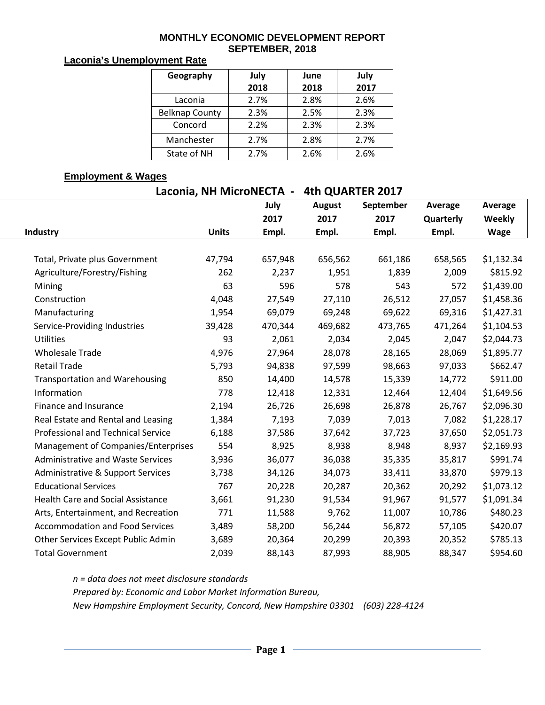#### **MONTHLY ECONOMIC DEVELOPMENT REPORT SEPTEMBER, 2018**

#### **Laconia's Unemployment Rate**

| Geography             | July | June | July |  |  |
|-----------------------|------|------|------|--|--|
|                       | 2018 | 2018 | 2017 |  |  |
| Laconia               | 2.7% | 2.8% | 2.6% |  |  |
| <b>Belknap County</b> | 2.3% | 2.5% | 2.3% |  |  |
| Concord               | 2.2% | 2.3% | 2.3% |  |  |
| Manchester            | 2.7% | 2.8% | 2.7% |  |  |
| State of NH           | 2.7% | 2.6% | 2.6% |  |  |

#### **Employment & Wages**

**Laconia, NH MicroNECTA - 4th QUARTER 2017**

|                                           |              | July    | <b>August</b> | September | Average   | Average     |
|-------------------------------------------|--------------|---------|---------------|-----------|-----------|-------------|
|                                           |              | 2017    | 2017          | 2017      | Quarterly | Weekly      |
| Industry                                  | <b>Units</b> | Empl.   | Empl.         | Empl.     | Empl.     | <b>Wage</b> |
|                                           |              |         |               |           |           |             |
| Total, Private plus Government            | 47,794       | 657,948 | 656,562       | 661,186   | 658,565   | \$1,132.34  |
| Agriculture/Forestry/Fishing              | 262          | 2,237   | 1,951         | 1,839     | 2,009     | \$815.92    |
| Mining                                    | 63           | 596     | 578           | 543       | 572       | \$1,439.00  |
| Construction                              | 4,048        | 27,549  | 27,110        | 26,512    | 27,057    | \$1,458.36  |
| Manufacturing                             | 1,954        | 69,079  | 69,248        | 69,622    | 69,316    | \$1,427.31  |
| Service-Providing Industries              | 39,428       | 470,344 | 469,682       | 473,765   | 471,264   | \$1,104.53  |
| <b>Utilities</b>                          | 93           | 2,061   | 2,034         | 2,045     | 2,047     | \$2,044.73  |
| <b>Wholesale Trade</b>                    | 4,976        | 27,964  | 28,078        | 28,165    | 28,069    | \$1,895.77  |
| <b>Retail Trade</b>                       | 5,793        | 94,838  | 97,599        | 98,663    | 97,033    | \$662.47    |
| <b>Transportation and Warehousing</b>     | 850          | 14,400  | 14,578        | 15,339    | 14,772    | \$911.00    |
| Information                               | 778          | 12,418  | 12,331        | 12,464    | 12,404    | \$1,649.56  |
| Finance and Insurance                     | 2,194        | 26,726  | 26,698        | 26,878    | 26,767    | \$2,096.30  |
| Real Estate and Rental and Leasing        | 1,384        | 7,193   | 7,039         | 7,013     | 7,082     | \$1,228.17  |
| <b>Professional and Technical Service</b> | 6,188        | 37,586  | 37,642        | 37,723    | 37,650    | \$2,051.73  |
| Management of Companies/Enterprises       | 554          | 8,925   | 8,938         | 8,948     | 8,937     | \$2,169.93  |
| <b>Administrative and Waste Services</b>  | 3,936        | 36,077  | 36,038        | 35,335    | 35,817    | \$991.74    |
| Administrative & Support Services         | 3,738        | 34,126  | 34,073        | 33,411    | 33,870    | \$979.13    |
| <b>Educational Services</b>               | 767          | 20,228  | 20,287        | 20,362    | 20,292    | \$1,073.12  |
| <b>Health Care and Social Assistance</b>  | 3,661        | 91,230  | 91,534        | 91,967    | 91,577    | \$1,091.34  |
| Arts, Entertainment, and Recreation       | 771          | 11,588  | 9,762         | 11,007    | 10,786    | \$480.23    |
| <b>Accommodation and Food Services</b>    | 3,489        | 58,200  | 56,244        | 56,872    | 57,105    | \$420.07    |
| Other Services Except Public Admin        | 3,689        | 20,364  | 20,299        | 20,393    | 20,352    | \$785.13    |
| <b>Total Government</b>                   | 2,039        | 88,143  | 87,993        | 88,905    | 88,347    | \$954.60    |

*n = data does not meet disclosure standards*

*Prepared by: Economic and Labor Market Information Bureau,* 

*New Hampshire Employment Security, Concord, New Hampshire 03301 (603) 228-4124*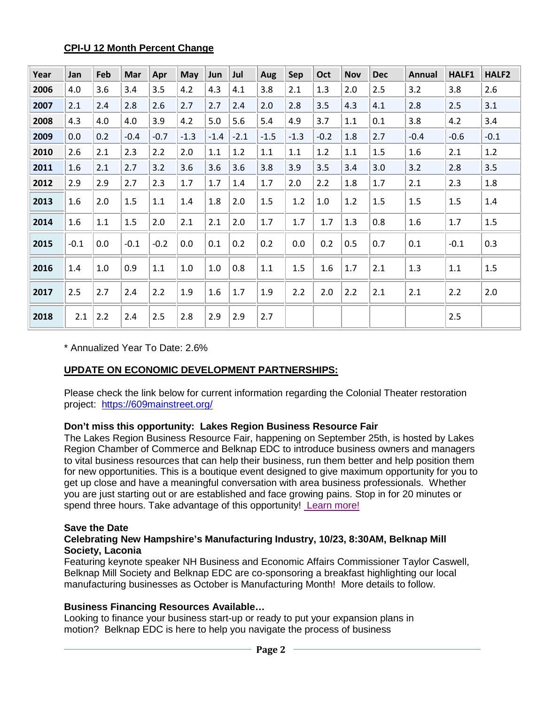## **CPI-U 12 Month Percent Change**

| Year | Jan    | Feb     | Mar    | Apr     | May    | Jun     | Jul    | Aug    | Sep    | Oct    | <b>Nov</b> | <b>Dec</b> | <b>Annual</b> | HALF1   | HALF2  |
|------|--------|---------|--------|---------|--------|---------|--------|--------|--------|--------|------------|------------|---------------|---------|--------|
| 2006 | 4.0    | 3.6     | 3.4    | 3.5     | 4.2    | 4.3     | 4.1    | 3.8    | 2.1    | 1.3    | 2.0        | 2.5        | 3.2           | 3.8     | 2.6    |
| 2007 | 2.1    | 2.4     | 2.8    | 2.6     | 2.7    | 2.7     | 2.4    | 2.0    | 2.8    | 3.5    | 4.3        | 4.1        | 2.8           | 2.5     | 3.1    |
| 2008 | 4.3    | 4.0     | 4.0    | 3.9     | 4.2    | 5.0     | 5.6    | 5.4    | 4.9    | 3.7    | 1.1        | 0.1        | 3.8           | 4.2     | 3.4    |
| 2009 | 0.0    | 0.2     | $-0.4$ | $-0.7$  | $-1.3$ | $-1.4$  | $-2.1$ | $-1.5$ | $-1.3$ | $-0.2$ | 1.8        | 2.7        | $-0.4$        | $-0.6$  | $-0.1$ |
| 2010 | 2.6    | 2.1     | 2.3    | 2.2     | 2.0    | 1.1     | 1.2    | 1.1    | 1.1    | 1.2    | 1.1        | 1.5        | 1.6           | 2.1     | 1.2    |
| 2011 | 1.6    | 2.1     | 2.7    | 3.2     | 3.6    | 3.6     | 3.6    | 3.8    | 3.9    | 3.5    | 3.4        | 3.0        | 3.2           | 2.8     | 3.5    |
| 2012 | 2.9    | 2.9     | 2.7    | 2.3     | 1.7    | 1.7     | 1.4    | 1.7    | 2.0    | 2.2    | 1.8        | 1.7        | 2.1           | 2.3     | 1.8    |
| 2013 | 1.6    | 2.0     | 1.5    | $1.1\,$ | 1.4    | 1.8     | 2.0    | 1.5    | 1.2    | 1.0    | 1.2        | 1.5        | $1.5\,$       | 1.5     | 1.4    |
| 2014 | 1.6    | $1.1\,$ | 1.5    | 2.0     | 2.1    | 2.1     | 2.0    | 1.7    | 1.7    | 1.7    | 1.3        | 0.8        | 1.6           | 1.7     | 1.5    |
| 2015 | $-0.1$ | 0.0     | $-0.1$ | $-0.2$  | 0.0    | 0.1     | 0.2    | 0.2    | 0.0    | 0.2    | 0.5        | 0.7        | 0.1           | $-0.1$  | 0.3    |
| 2016 | 1.4    | 1.0     | 0.9    | $1.1\,$ | 1.0    | $1.0\,$ | 0.8    | 1.1    | 1.5    | 1.6    | 1.7        | 2.1        | 1.3           | $1.1\,$ | 1.5    |
| 2017 | 2.5    | 2.7     | 2.4    | 2.2     | 1.9    | 1.6     | 1.7    | 1.9    | 2.2    | 2.0    | 2.2        | 2.1        | 2.1           | 2.2     | 2.0    |
| 2018 | 2.1    | 2.2     | 2.4    | 2.5     | 2.8    | 2.9     | 2.9    | 2.7    |        |        |            |            |               | 2.5     |        |

\* Annualized Year To Date: 2.6%

# **UPDATE ON ECONOMIC DEVELOPMENT PARTNERSHIPS:**

Please check the link below for current information regarding the Colonial Theater restoration project: <https://609mainstreet.org/>

## **Don't miss this opportunity: Lakes Region Business Resource Fair**

The Lakes Region Business Resource Fair, happening on September 25th, is hosted by Lakes Region Chamber of Commerce and Belknap EDC to introduce business owners and managers to vital business resources that can help their business, run them better and help position them for new opportunities. This is a boutique event designed to give maximum opportunity for you to get up close and have a meaningful conversation with area business professionals. Whether you are just starting out or are established and face growing pains. Stop in for 20 minutes or spend three hours. Take advantage of this opportunity! [Learn more!](http://www.lakesregionchamber.org/events/details/lakes-region-biz-resource-fair-2018-34685)

## **Save the Date**

#### **Celebrating New Hampshire's Manufacturing Industry, 10/23, 8:30AM, Belknap Mill Society, Laconia**

Featuring keynote speaker NH Business and Economic Affairs Commissioner Taylor Caswell, Belknap Mill Society and Belknap EDC are co-sponsoring a breakfast highlighting our local manufacturing businesses as October is Manufacturing Month! More details to follow.

## **Business Financing Resources Available…**

Looking to finance your business start-up or ready to put your expansion plans in motion? Belknap EDC is here to help you navigate the process of business